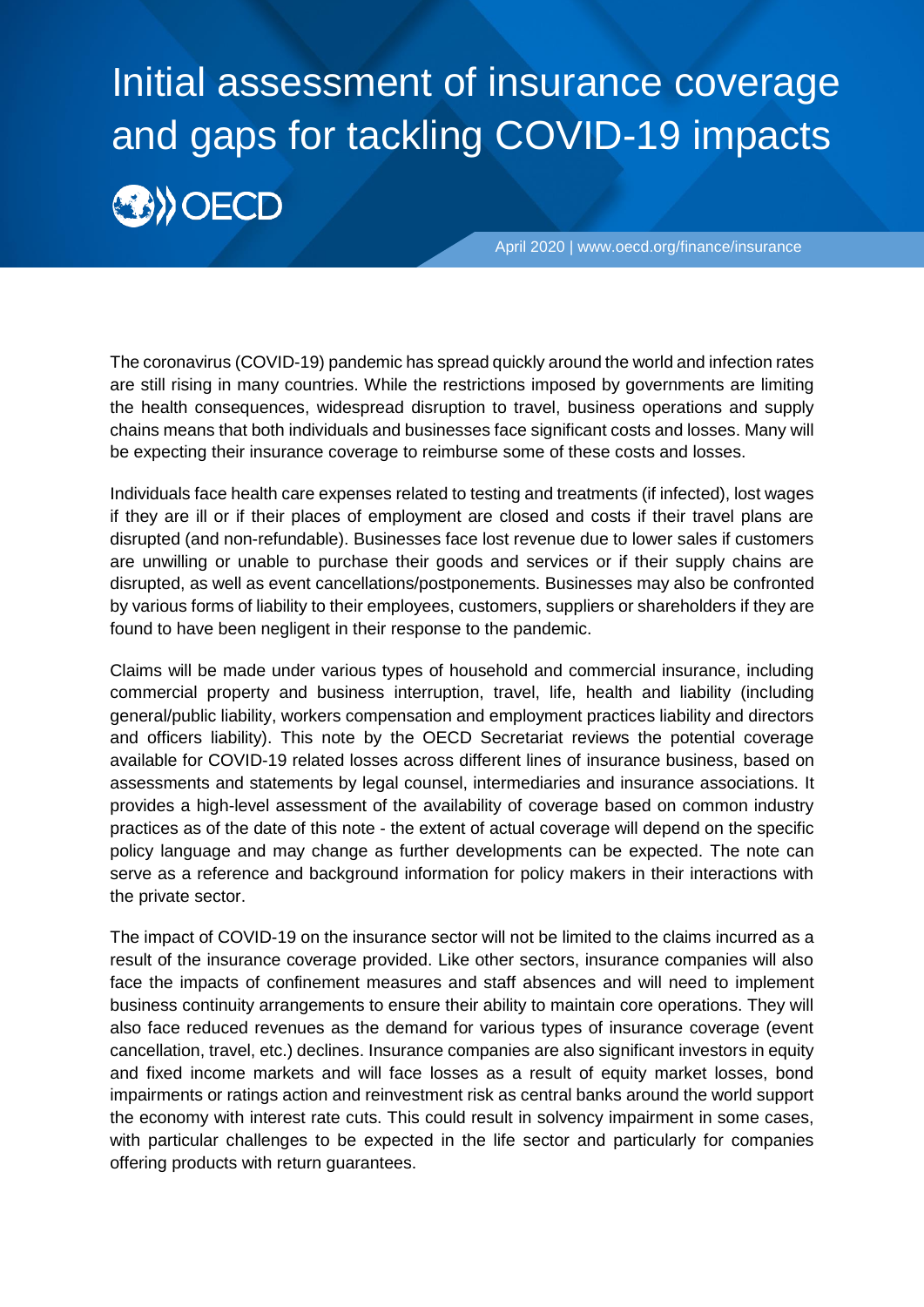# Initial assessment of insurance coverage and gaps for tackling COVID-19 impacts **BIOECD**

April 2020 | [www.oecd.org/finance/insurance](http://www.oecd.org/finance/insurance)

The coronavirus (COVID-19) pandemic has spread quickly around the world and infection rates are still rising in many countries. While the restrictions imposed by governments are limiting the health consequences, widespread disruption to travel, business operations and supply chains means that both individuals and businesses face significant costs and losses. Many will be expecting their insurance coverage to reimburse some of these costs and losses.

Individuals face health care expenses related to testing and treatments (if infected), lost wages if they are ill or if their places of employment are closed and costs if their travel plans are disrupted (and non-refundable). Businesses face lost revenue due to lower sales if customers are unwilling or unable to purchase their goods and services or if their supply chains are disrupted, as well as event cancellations/postponements. Businesses may also be confronted by various forms of liability to their employees, customers, suppliers or shareholders if they are found to have been negligent in their response to the pandemic.

Claims will be made under various types of household and commercial insurance, including commercial property and business interruption, travel, life, health and liability (including general/public liability, workers compensation and employment practices liability and directors and officers liability). This note by the OECD Secretariat reviews the potential coverage available for COVID-19 related losses across different lines of insurance business, based on assessments and statements by legal counsel, intermediaries and insurance associations. It provides a high-level assessment of the availability of coverage based on common industry practices as of the date of this note - the extent of actual coverage will depend on the specific policy language and may change as further developments can be expected. The note can serve as a reference and background information for policy makers in their interactions with the private sector.

The impact of COVID-19 on the insurance sector will not be limited to the claims incurred as a result of the insurance coverage provided. Like other sectors, insurance companies will also face the impacts of confinement measures and staff absences and will need to implement business continuity arrangements to ensure their ability to maintain core operations. They will also face reduced revenues as the demand for various types of insurance coverage (event cancellation, travel, etc.) declines. Insurance companies are also significant investors in equity and fixed income markets and will face losses as a result of equity market losses, bond impairments or ratings action and reinvestment risk as central banks around the world support the economy with interest rate cuts. This could result in solvency impairment in some cases, with particular challenges to be expected in the life sector and particularly for companies offering products with return guarantees.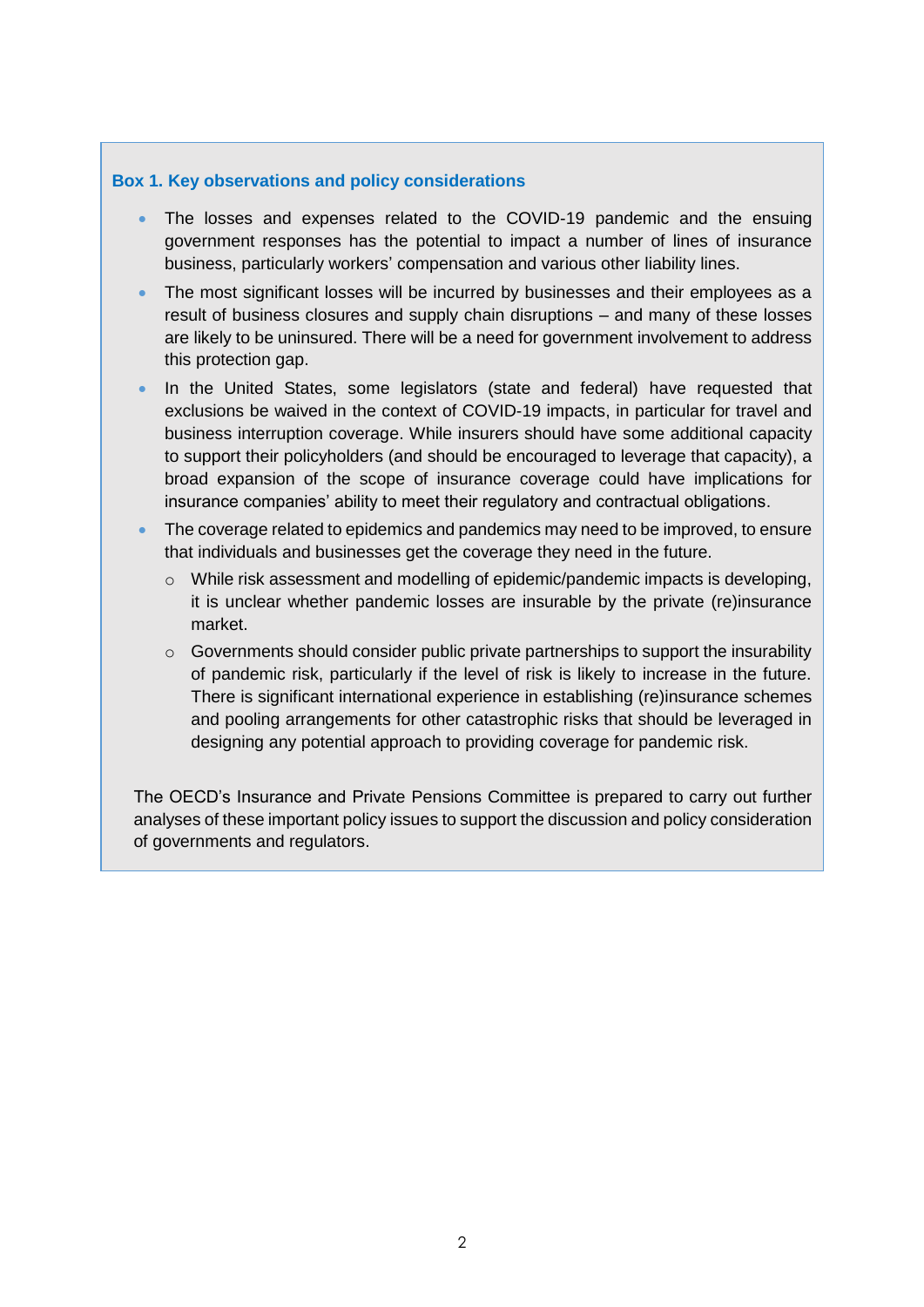#### **Box 1. Key observations and policy considerations**

- The losses and expenses related to the COVID-19 pandemic and the ensuing government responses has the potential to impact a number of lines of insurance business, particularly workers' compensation and various other liability lines.
- The most significant losses will be incurred by businesses and their employees as a result of business closures and supply chain disruptions – and many of these losses are likely to be uninsured. There will be a need for government involvement to address this protection gap.
- In the United States, some legislators (state and federal) have requested that exclusions be waived in the context of COVID-19 impacts, in particular for travel and business interruption coverage. While insurers should have some additional capacity to support their policyholders (and should be encouraged to leverage that capacity), a broad expansion of the scope of insurance coverage could have implications for insurance companies' ability to meet their regulatory and contractual obligations.
- The coverage related to epidemics and pandemics may need to be improved, to ensure that individuals and businesses get the coverage they need in the future.
	- $\circ$  While risk assessment and modelling of epidemic/pandemic impacts is developing, it is unclear whether pandemic losses are insurable by the private (re)insurance market.
	- o Governments should consider public private partnerships to support the insurability of pandemic risk, particularly if the level of risk is likely to increase in the future. There is significant international experience in establishing (re)insurance schemes and pooling arrangements for other catastrophic risks that should be leveraged in designing any potential approach to providing coverage for pandemic risk.

The OECD's Insurance and Private Pensions Committee is prepared to carry out further analyses of these important policy issues to support the discussion and policy consideration of governments and regulators.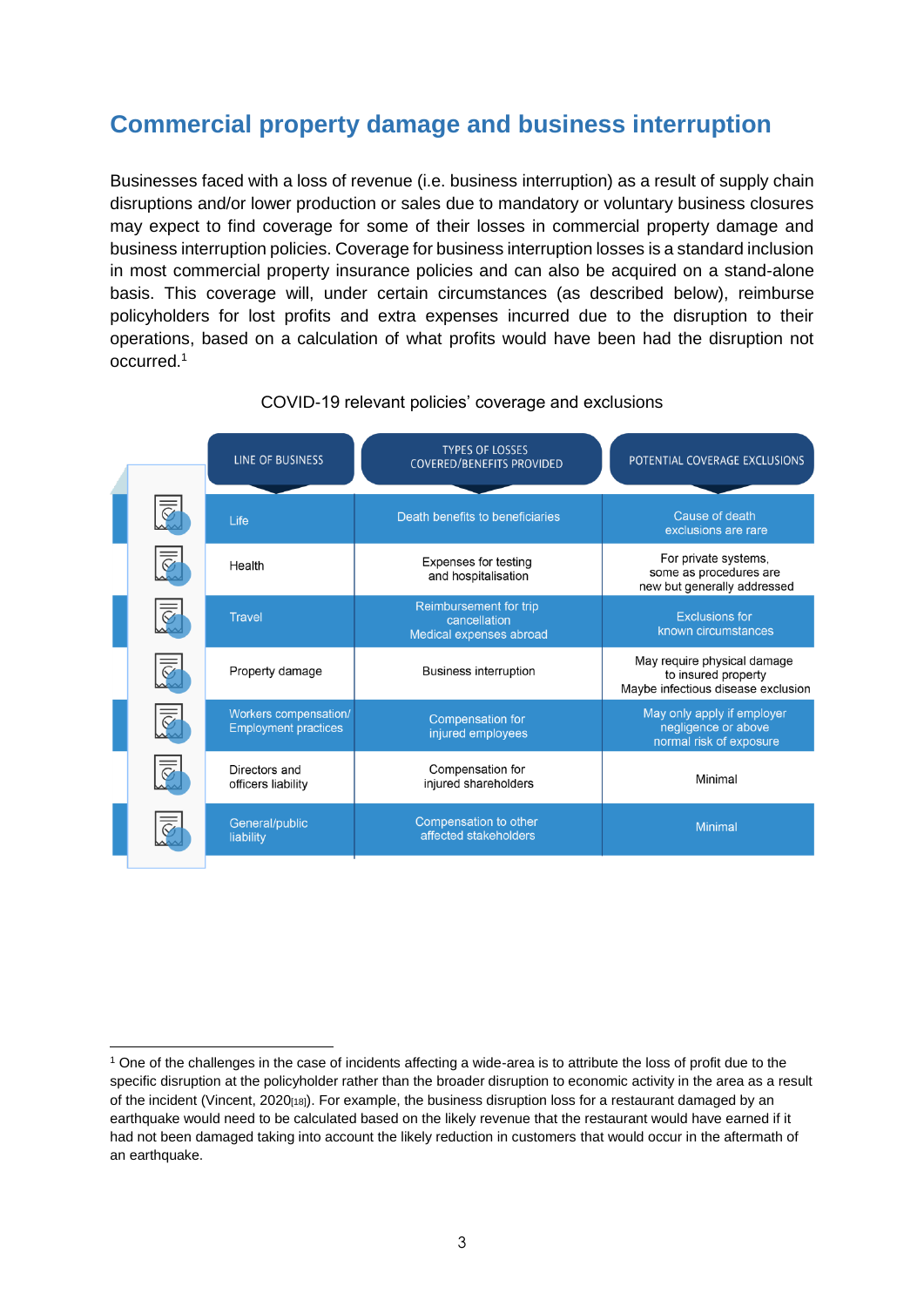## **Commercial property damage and business interruption**

Businesses faced with a loss of revenue (i.e. business interruption) as a result of supply chain disruptions and/or lower production or sales due to mandatory or voluntary business closures may expect to find coverage for some of their losses in commercial property damage and business interruption policies. Coverage for business interruption losses is a standard inclusion in most commercial property insurance policies and can also be acquired on a stand-alone basis. This coverage will, under certain circumstances (as described below), reimburse policyholders for lost profits and extra expenses incurred due to the disruption to their operations, based on a calculation of what profits would have been had the disruption not occurred.<sup>1</sup>

|  | LINE OF BUSINESS                                     | <b>TYPES OF LOSSES</b><br><b>COVERED/BENEFITS PROVIDED</b>        | POTENTIAL COVERAGE EXCLUSIONS                                                            |
|--|------------------------------------------------------|-------------------------------------------------------------------|------------------------------------------------------------------------------------------|
|  | Life                                                 | Death benefits to beneficiaries                                   | Cause of death<br>exclusions are rare                                                    |
|  | Health                                               | Expenses for testing<br>and hospitalisation                       | For private systems,<br>some as procedures are<br>new but generally addressed            |
|  | <b>Travel</b>                                        | Reimbursement for trip<br>cancellation<br>Medical expenses abroad | <b>Exclusions for</b><br>known circumstances                                             |
|  | Property damage                                      | <b>Business interruption</b>                                      | May require physical damage<br>to insured property<br>Maybe infectious disease exclusion |
|  | Workers compensation/<br><b>Employment practices</b> | Compensation for<br>injured employees                             | May only apply if employer<br>negligence or above<br>normal risk of exposure             |
|  | Directors and<br>officers liability                  | Compensation for<br>injured shareholders                          | Minimal                                                                                  |
|  | General/public<br>liability                          | Compensation to other<br>affected stakeholders                    | <b>Minimal</b>                                                                           |
|  |                                                      |                                                                   |                                                                                          |

#### COVID-19 relevant policies' coverage and exclusions

 $\overline{a}$ 

<sup>&</sup>lt;sup>1</sup> One of the challenges in the case of incidents affecting a wide-area is to attribute the loss of profit due to the specific disruption at the policyholder rather than the broader disruption to economic activity in the area as a result of the incident (Vincent, 2020<sub>[18]</sub>). For example, the business disruption loss for a restaurant damaged by an earthquake would need to be calculated based on the likely revenue that the restaurant would have earned if it had not been damaged taking into account the likely reduction in customers that would occur in the aftermath of an earthquake.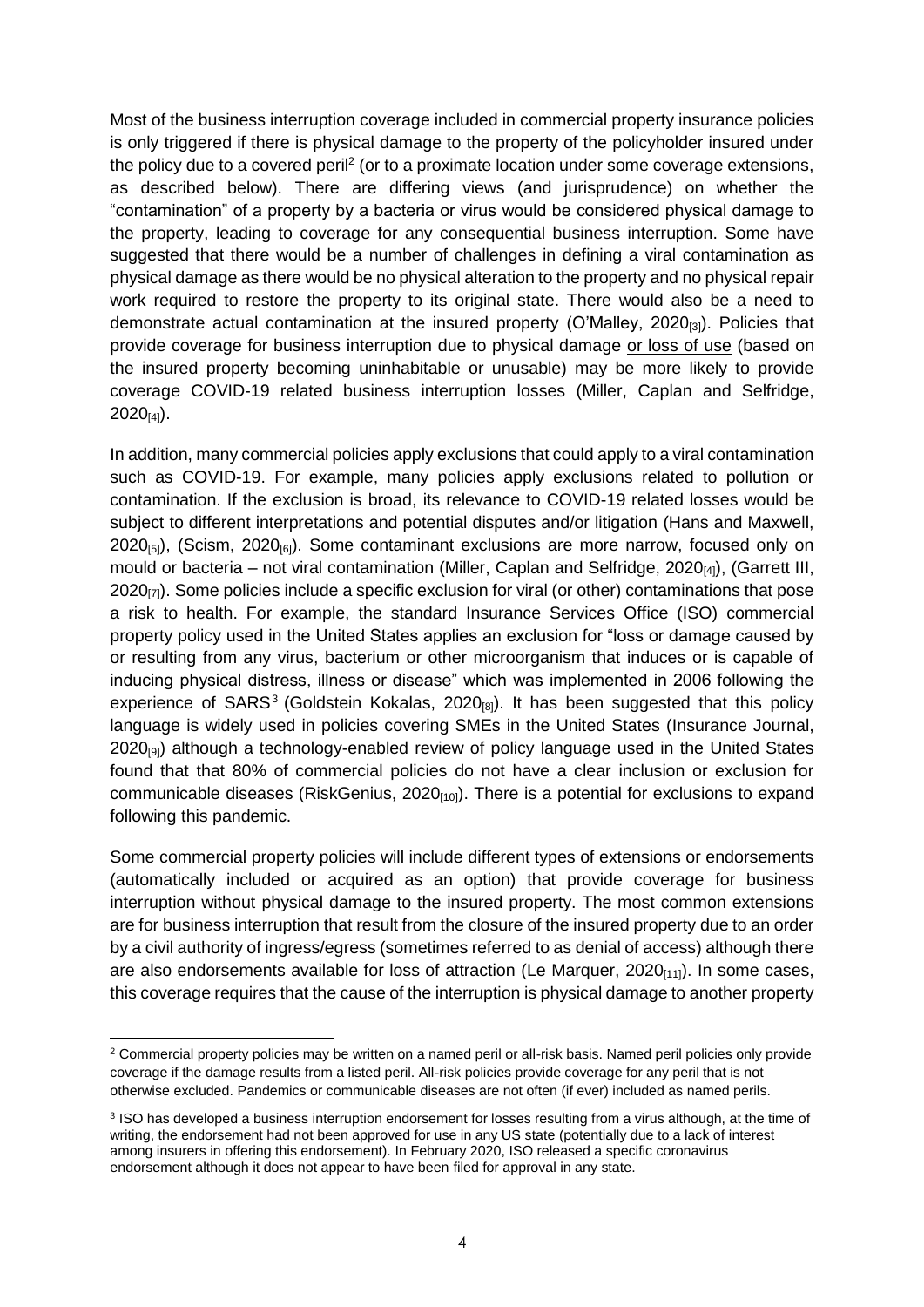Most of the business interruption coverage included in commercial property insurance policies is only triggered if there is physical damage to the property of the policyholder insured under the policy due to a covered peril<sup>2</sup> (or to a proximate location under some coverage extensions, as described below). There are differing views (and jurisprudence) on whether the "contamination" of a property by a bacteria or virus would be considered physical damage to the property, leading to coverage for any consequential business interruption. Some have suggested that there would be a number of challenges in defining a viral contamination as physical damage as there would be no physical alteration to the property and no physical repair work required to restore the property to its original state. There would also be a need to demonstrate actual contamination at the insured property (O'Malley, 2020 $_{(3)}$ ). Policies that provide coverage for business interruption due to physical damage or loss of use (based on the insured property becoming uninhabitable or unusable) may be more likely to provide coverage COVID-19 related business interruption losses (Miller, Caplan and Selfridge,  $2020_{[4]}$ ).

In addition, many commercial policies apply exclusions that could apply to a viral contamination such as COVID-19. For example, many policies apply exclusions related to pollution or contamination. If the exclusion is broad, its relevance to COVID-19 related losses would be subject to different interpretations and potential disputes and/or litigation (Hans and Maxwell,  $2020_{[5]}$ , (Scism,  $2020_{[6]}$ ). Some contaminant exclusions are more narrow, focused only on mould or bacteria – not viral contamination (Miller, Caplan and Selfridge, 2020 $_{[4]}$ ), (Garrett III,  $2020_{[7]}$ ). Some policies include a specific exclusion for viral (or other) contaminations that pose a risk to health. For example, the standard Insurance Services Office (ISO) commercial property policy used in the United States applies an exclusion for "loss or damage caused by or resulting from any virus, bacterium or other microorganism that induces or is capable of inducing physical distress, illness or disease" which was implemented in 2006 following the experience of SARS<sup>3</sup> (Goldstein Kokalas, 2020<sub>[8]</sub>). It has been suggested that this policy language is widely used in policies covering SMEs in the United States (Insurance Journal,  $2020_{[9]}$ ) although a technology-enabled review of policy language used in the United States found that that 80% of commercial policies do not have a clear inclusion or exclusion for communicable diseases (RiskGenius,  $2020_{[10]}$ ). There is a potential for exclusions to expand following this pandemic.

Some commercial property policies will include different types of extensions or endorsements (automatically included or acquired as an option) that provide coverage for business interruption without physical damage to the insured property. The most common extensions are for business interruption that result from the closure of the insured property due to an order by a civil authority of ingress/egress (sometimes referred to as denial of access) although there are also endorsements available for loss of attraction (Le Marquer,  $2020_{[11]}$ ). In some cases, this coverage requires that the cause of the interruption is physical damage to another property

 <sup>2</sup> Commercial property policies may be written on a named peril or all-risk basis. Named peril policies only provide coverage if the damage results from a listed peril. All-risk policies provide coverage for any peril that is not otherwise excluded. Pandemics or communicable diseases are not often (if ever) included as named perils.

<sup>&</sup>lt;sup>3</sup> ISO has developed a business interruption endorsement for losses resulting from a virus although, at the time of writing, the endorsement had not been approved for use in any US state (potentially due to a lack of interest among insurers in offering this endorsement). In February 2020, ISO released a specific coronavirus endorsement although it does not appear to have been filed for approval in any state.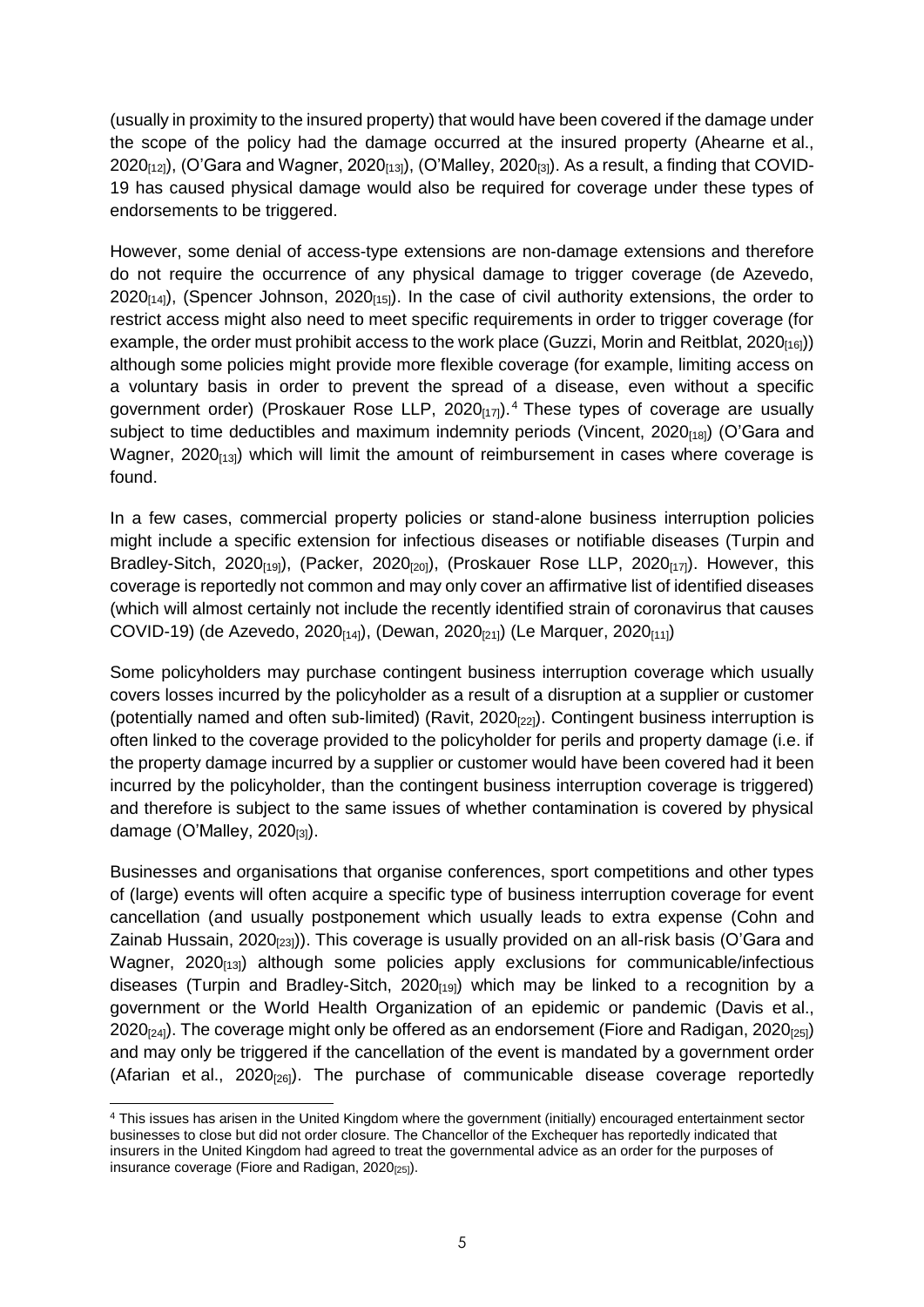(usually in proximity to the insured property) that would have been covered if the damage under the scope of the policy had the damage occurred at the insured property (Ahearne et al.,  $2020_{[12]}$ , (O'Gara and Wagner,  $2020_{[13]}$ ), (O'Malley,  $2020_{[3]}$ ). As a result, a finding that COVID-19 has caused physical damage would also be required for coverage under these types of endorsements to be triggered.

However, some denial of access-type extensions are non-damage extensions and therefore do not require the occurrence of any physical damage to trigger coverage (de Azevedo,  $2020_{[14]}$ ), (Spencer Johnson,  $2020_{[15]}$ ). In the case of civil authority extensions, the order to restrict access might also need to meet specific requirements in order to trigger coverage (for example, the order must prohibit access to the work place (Guzzi, Morin and Reitblat, 2020 $_{[16]}$ )) although some policies might provide more flexible coverage (for example, limiting access on a voluntary basis in order to prevent the spread of a disease, even without a specific government order) (Proskauer Rose LLP, 2020<sub>[17]</sub>).<sup>4</sup> These types of coverage are usually subject to time deductibles and maximum indemnity periods (Vincent,  $2020_{[18]}$ ) (O'Gara and Wagner,  $2020_{[13]}$ ) which will limit the amount of reimbursement in cases where coverage is found.

In a few cases, commercial property policies or stand-alone business interruption policies might include a specific extension for infectious diseases or notifiable diseases (Turpin and Bradley-Sitch, 2020 $_{[19]}$ , (Packer, 2020 $_{[20]}$ ), (Proskauer Rose LLP, 2020 $_{[17]}$ ). However, this coverage is reportedly not common and may only cover an affirmative list of identified diseases (which will almost certainly not include the recently identified strain of coronavirus that causes COVID-19) (de Azevedo, 2020<sub>[14]</sub>), (Dewan, 2020<sub>[21]</sub>) (Le Marquer, 2020<sub>[11]</sub>)

Some policyholders may purchase contingent business interruption coverage which usually covers losses incurred by the policyholder as a result of a disruption at a supplier or customer (potentially named and often sub-limited) (Ravit,  $2020_{[22]}$ ). Contingent business interruption is often linked to the coverage provided to the policyholder for perils and property damage (i.e. if the property damage incurred by a supplier or customer would have been covered had it been incurred by the policyholder, than the contingent business interruption coverage is triggered) and therefore is subject to the same issues of whether contamination is covered by physical damage  $(O'M$ alley,  $2020_{[3]}$ ).

Businesses and organisations that organise conferences, sport competitions and other types of (large) events will often acquire a specific type of business interruption coverage for event cancellation (and usually postponement which usually leads to extra expense (Cohn and Zainab Hussain, 2020 $_{[23]}$ ). This coverage is usually provided on an all-risk basis (O'Gara and Wagner,  $2020_{[13]}$ ) although some policies apply exclusions for communicable/infectious diseases (Turpin and Bradley-Sitch, 2020 $_{[19]}$ ) which may be linked to a recognition by a government or the World Health Organization of an epidemic or pandemic (Davis et al., 2020 $_{24}$ ). The coverage might only be offered as an endorsement (Fiore and Radigan, 2020 $_{25}$ ) and may only be triggered if the cancellation of the event is mandated by a government order (Afarian et al.,  $2020_{[26]}$ ). The purchase of communicable disease coverage reportedly

 $\overline{a}$ <sup>4</sup> This issues has arisen in the United Kingdom where the government (initially) encouraged entertainment sector businesses to close but did not order closure. The Chancellor of the Exchequer has reportedly indicated that insurers in the United Kingdom had agreed to treat the governmental advice as an order for the purposes of insurance coverage (Fiore and Radigan, 2020<sub>[25]</sub>).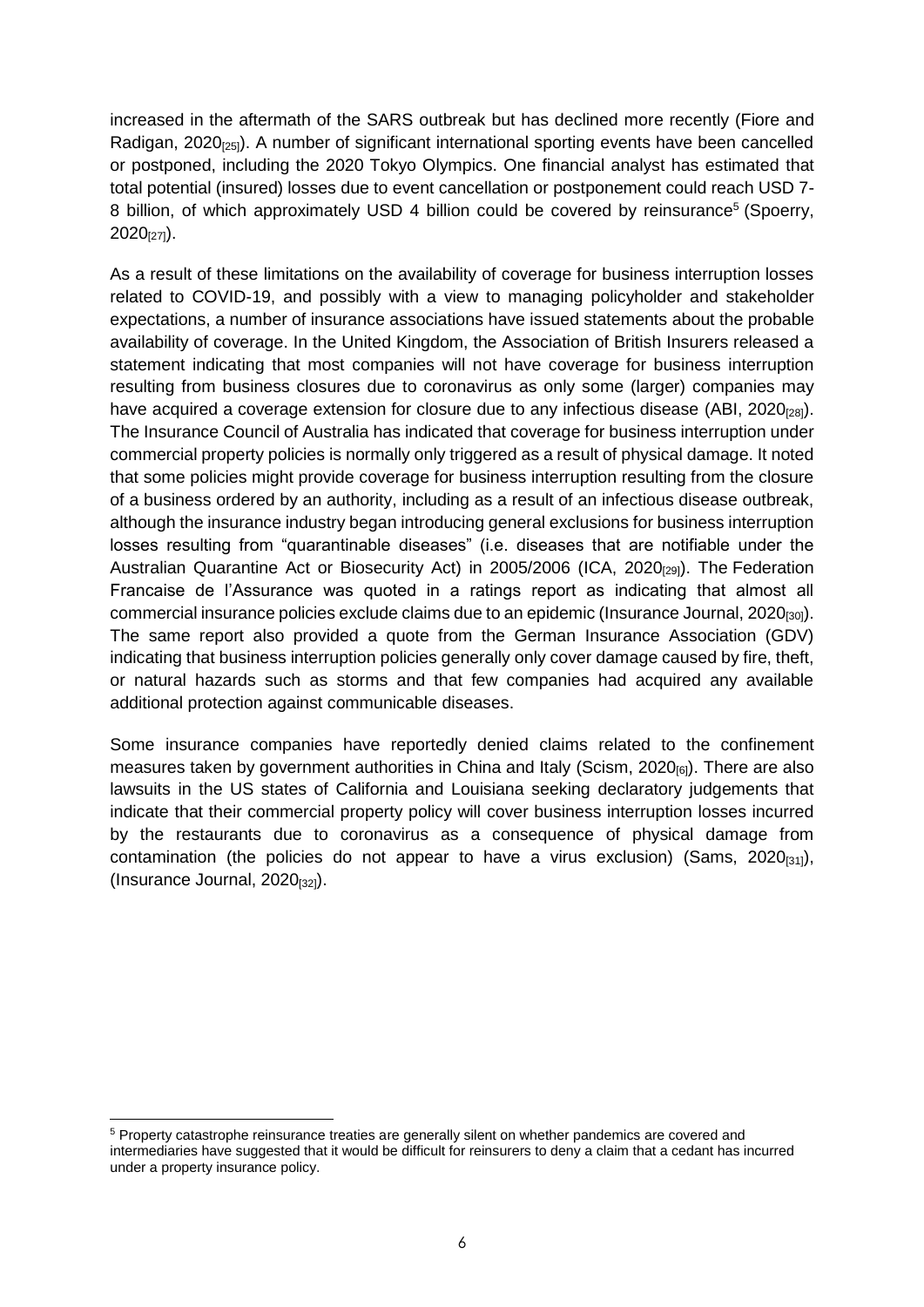increased in the aftermath of the SARS outbreak but has declined more recently (Fiore and Radigan, 2020 $_{[25]}$ ). A number of significant international sporting events have been cancelled or postponed, including the 2020 Tokyo Olympics. One financial analyst has estimated that total potential (insured) losses due to event cancellation or postponement could reach USD 7- 8 billion, of which approximately USD 4 billion could be covered by reinsurance<sup>5</sup> (Spoerry,  $2020_{[27]}$ ).

As a result of these limitations on the availability of coverage for business interruption losses related to COVID-19, and possibly with a view to managing policyholder and stakeholder expectations, a number of insurance associations have issued statements about the probable availability of coverage. In the United Kingdom, the Association of British Insurers released a statement indicating that most companies will not have coverage for business interruption resulting from business closures due to coronavirus as only some (larger) companies may have acquired a coverage extension for closure due to any infectious disease (ABI, 2020 $_{281}$ ). The Insurance Council of Australia has indicated that coverage for business interruption under commercial property policies is normally only triggered as a result of physical damage. It noted that some policies might provide coverage for business interruption resulting from the closure of a business ordered by an authority, including as a result of an infectious disease outbreak, although the insurance industry began introducing general exclusions for business interruption losses resulting from "quarantinable diseases" (i.e. diseases that are notifiable under the Australian Quarantine Act or Biosecurity Act) in 2005/2006 (ICA, 2020<sub>[29]</sub>). The Federation Francaise de l'Assurance was quoted in a ratings report as indicating that almost all commercial insurance policies exclude claims due to an epidemic (Insurance Journal, 2020<sub>[30]</sub>). The same report also provided a quote from the German Insurance Association (GDV) indicating that business interruption policies generally only cover damage caused by fire, theft, or natural hazards such as storms and that few companies had acquired any available additional protection against communicable diseases.

Some insurance companies have reportedly denied claims related to the confinement measures taken by government authorities in China and Italy (Scism, 2020<sub>[6]</sub>). There are also lawsuits in the US states of California and Louisiana seeking declaratory judgements that indicate that their commercial property policy will cover business interruption losses incurred by the restaurants due to coronavirus as a consequence of physical damage from contamination (the policies do not appear to have a virus exclusion) (Sams,  $2020_{[31]}$ ), (Insurance Journal,  $2020_{[32]}$ ).

 <sup>5</sup> Property catastrophe reinsurance treaties are generally silent on whether pandemics are covered and intermediaries have suggested that it would be difficult for reinsurers to deny a claim that a cedant has incurred under a property insurance policy.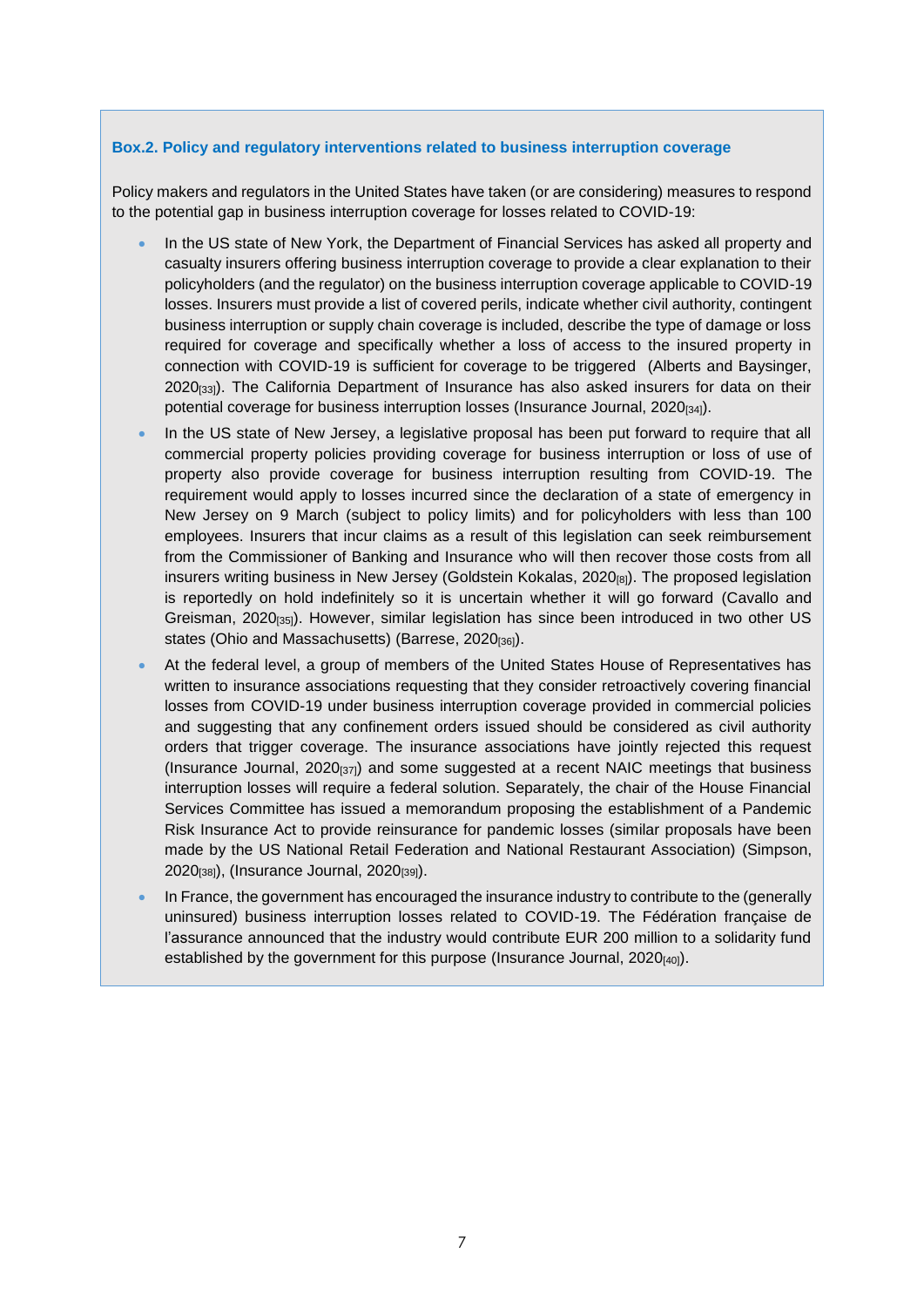#### **Box.2. Policy and regulatory interventions related to business interruption coverage**

Policy makers and regulators in the United States have taken (or are considering) measures to respond to the potential gap in business interruption coverage for losses related to COVID-19:

- In the US state of New York, the Department of Financial Services has asked all property and casualty insurers offering business interruption coverage to provide a clear explanation to their policyholders (and the regulator) on the business interruption coverage applicable to COVID-19 losses. Insurers must provide a list of covered perils, indicate whether civil authority, contingent business interruption or supply chain coverage is included, describe the type of damage or loss required for coverage and specifically whether a loss of access to the insured property in connection with COVID-19 is sufficient for coverage to be triggered (Alberts and Baysinger,  $2020_{[33]}$ ). The California Department of Insurance has also asked insurers for data on their potential coverage for business interruption losses (Insurance Journal, 2020<sub>[34]</sub>).
- In the US state of New Jersey, a legislative proposal has been put forward to require that all commercial property policies providing coverage for business interruption or loss of use of property also provide coverage for business interruption resulting from COVID-19. The requirement would apply to losses incurred since the declaration of a state of emergency in New Jersey on 9 March (subject to policy limits) and for policyholders with less than 100 employees. Insurers that incur claims as a result of this legislation can seek reimbursement from the Commissioner of Banking and Insurance who will then recover those costs from all insurers writing business in New Jersey (Goldstein Kokalas,  $2020_{[8]}$ ). The proposed legislation is reportedly on hold indefinitely so it is uncertain whether it will go forward (Cavallo and Greisman, 2020[35]). However, similar legislation has since been introduced in two other US states (Ohio and Massachusetts) (Barrese, 2020<sub>[36]</sub>).
- At the federal level, a group of members of the United States House of Representatives has written to insurance associations requesting that they consider retroactively covering financial losses from COVID-19 under business interruption coverage provided in commercial policies and suggesting that any confinement orders issued should be considered as civil authority orders that trigger coverage. The insurance associations have jointly rejected this request (Insurance Journal,  $2020_{[37]}$ ) and some suggested at a recent NAIC meetings that business interruption losses will require a federal solution. Separately, the chair of the House Financial Services Committee has issued a memorandum proposing the establishment of a Pandemic Risk Insurance Act to provide reinsurance for pandemic losses (similar proposals have been made by the US National Retail Federation and National Restaurant Association) (Simpson, 2020[38]), (Insurance Journal, 2020[39]).
- In France, the government has encouraged the insurance industry to contribute to the (generally uninsured) business interruption losses related to COVID-19. The Fédération française de l'assurance announced that the industry would contribute EUR 200 million to a solidarity fund established by the government for this purpose (Insurance Journal, 2020[40]).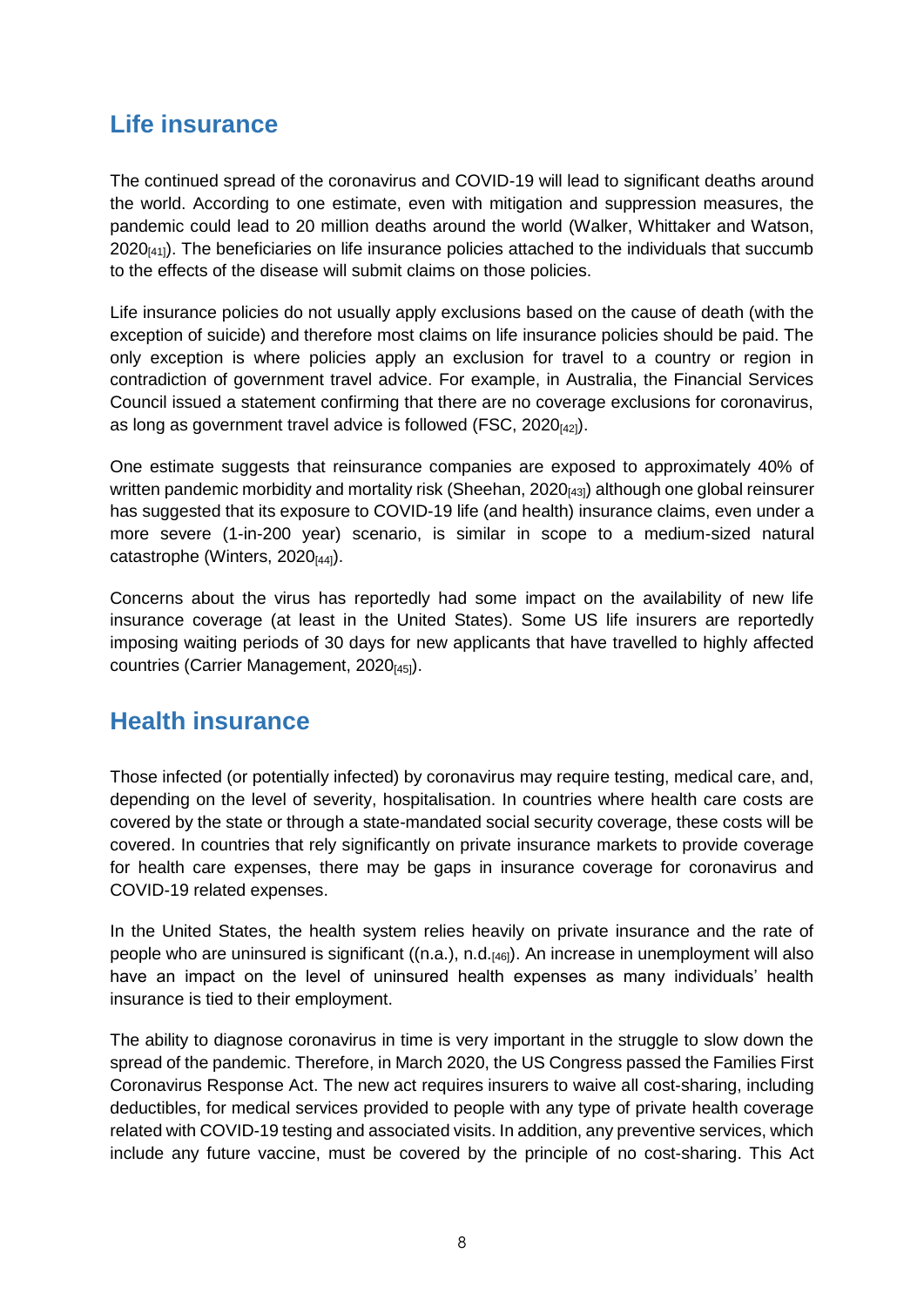## **Life insurance**

The continued spread of the coronavirus and COVID-19 will lead to significant deaths around the world. According to one estimate, even with mitigation and suppression measures, the pandemic could lead to 20 million deaths around the world (Walker, Whittaker and Watson,  $2020<sub>[41]</sub>$ . The beneficiaries on life insurance policies attached to the individuals that succumb to the effects of the disease will submit claims on those policies.

Life insurance policies do not usually apply exclusions based on the cause of death (with the exception of suicide) and therefore most claims on life insurance policies should be paid. The only exception is where policies apply an exclusion for travel to a country or region in contradiction of government travel advice. For example, in Australia, the Financial Services Council issued a statement confirming that there are no coverage exclusions for coronavirus, as long as government travel advice is followed (FSC,  $2020_{[42]}$ ).

One estimate suggests that reinsurance companies are exposed to approximately 40% of written pandemic morbidity and mortality risk (Sheehan, 2020<sub>[43]</sub>) although one global reinsurer has suggested that its exposure to COVID-19 life (and health) insurance claims, even under a more severe (1-in-200 year) scenario, is similar in scope to a medium-sized natural catastrophe (Winters,  $2020_{[44]}$ ).

Concerns about the virus has reportedly had some impact on the availability of new life insurance coverage (at least in the United States). Some US life insurers are reportedly imposing waiting periods of 30 days for new applicants that have travelled to highly affected countries (Carrier Management, 2020<sub>[45]</sub>).

#### **Health insurance**

Those infected (or potentially infected) by coronavirus may require testing, medical care, and, depending on the level of severity, hospitalisation. In countries where health care costs are covered by the state or through a state-mandated social security coverage, these costs will be covered. In countries that rely significantly on private insurance markets to provide coverage for health care expenses, there may be gaps in insurance coverage for coronavirus and COVID-19 related expenses.

In the United States, the health system relies heavily on private insurance and the rate of people who are uninsured is significant ((n.a.), n.d.[46]). An increase in unemployment will also have an impact on the level of uninsured health expenses as many individuals' health insurance is tied to their employment.

The ability to diagnose coronavirus in time is very important in the struggle to slow down the spread of the pandemic. Therefore, in March 2020, the US Congress passed the Families First Coronavirus Response Act. The new act requires insurers to waive all cost-sharing, including deductibles, for medical services provided to people with any type of private health coverage related with COVID-19 testing and associated visits. In addition, any preventive services, which include any future vaccine, must be covered by the principle of no cost-sharing. This Act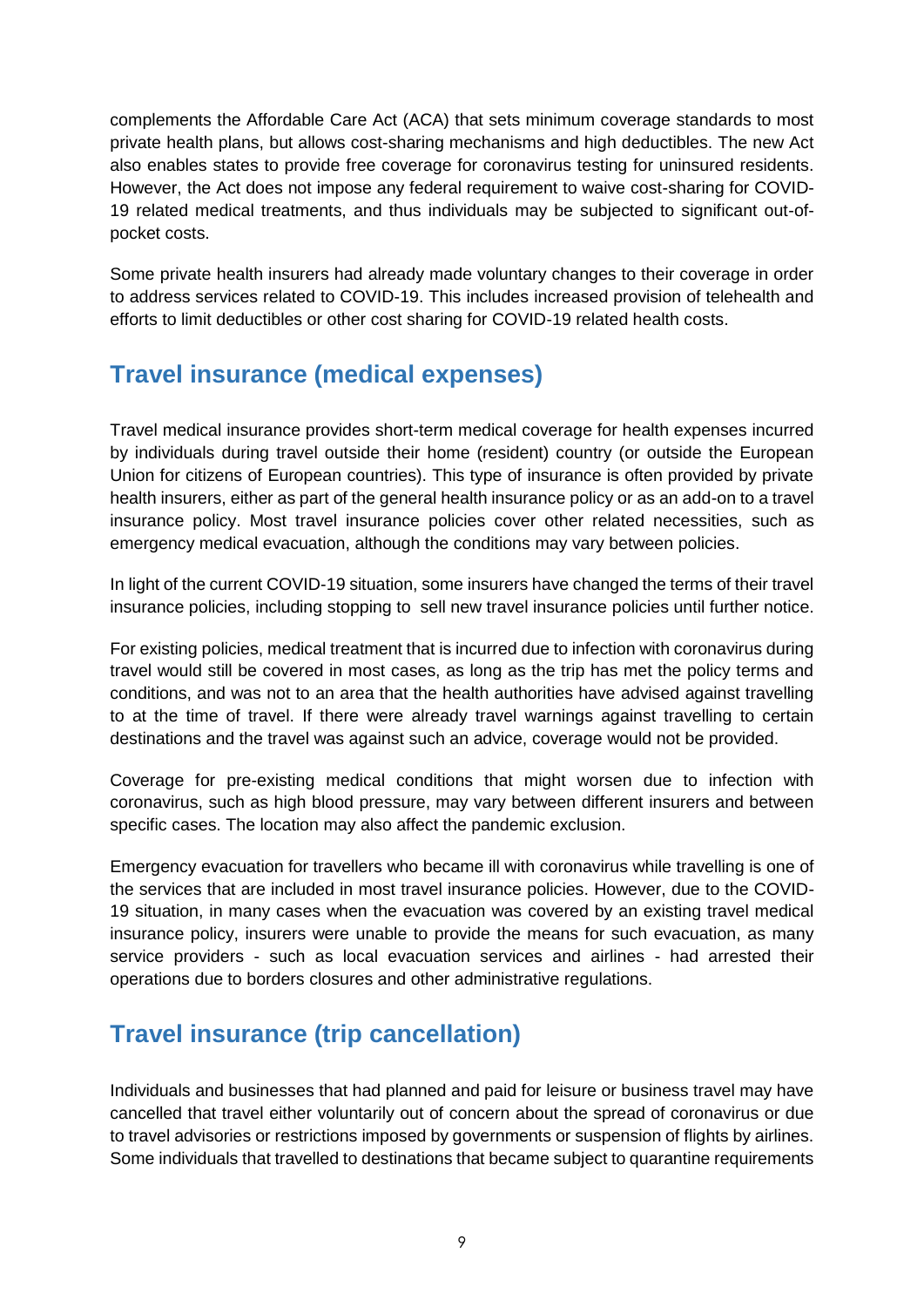complements the Affordable Care Act (ACA) that sets minimum coverage standards to most private health plans, but allows cost-sharing mechanisms and high deductibles. The new Act also enables states to provide free coverage for coronavirus testing for uninsured residents. However, the Act does not impose any federal requirement to waive cost-sharing for COVID-19 related medical treatments, and thus individuals may be subjected to significant out-ofpocket costs.

Some private health insurers had already made voluntary changes to their coverage in order to address services related to COVID-19. This includes increased provision of telehealth and efforts to limit deductibles or other cost sharing for COVID-19 related health costs.

## **Travel insurance (medical expenses)**

Travel medical insurance provides short-term medical coverage for health expenses incurred by individuals during travel outside their home (resident) country (or outside the European Union for citizens of European countries). This type of insurance is often provided by private health insurers, either as part of the general health insurance policy or as an add-on to a travel insurance policy. Most travel insurance policies cover other related necessities, such as emergency medical evacuation, although the conditions may vary between policies.

In light of the current COVID-19 situation, some insurers have changed the terms of their travel insurance policies, including stopping to sell new travel insurance policies until further notice.

For existing policies, medical treatment that is incurred due to infection with coronavirus during travel would still be covered in most cases, as long as the trip has met the policy terms and conditions, and was not to an area that the health authorities have advised against travelling to at the time of travel. If there were already travel warnings against travelling to certain destinations and the travel was against such an advice, coverage would not be provided.

Coverage for pre-existing medical conditions that might worsen due to infection with coronavirus, such as high blood pressure, may vary between different insurers and between specific cases. The location may also affect the pandemic exclusion.

Emergency evacuation for travellers who became ill with coronavirus while travelling is one of the services that are included in most travel insurance policies. However, due to the COVID-19 situation, in many cases when the evacuation was covered by an existing travel medical insurance policy, insurers were unable to provide the means for such evacuation, as many service providers - such as local evacuation services and airlines - had arrested their operations due to borders closures and other administrative regulations.

# **Travel insurance (trip cancellation)**

Individuals and businesses that had planned and paid for leisure or business travel may have cancelled that travel either voluntarily out of concern about the spread of coronavirus or due to travel advisories or restrictions imposed by governments or suspension of flights by airlines. Some individuals that travelled to destinations that became subject to quarantine requirements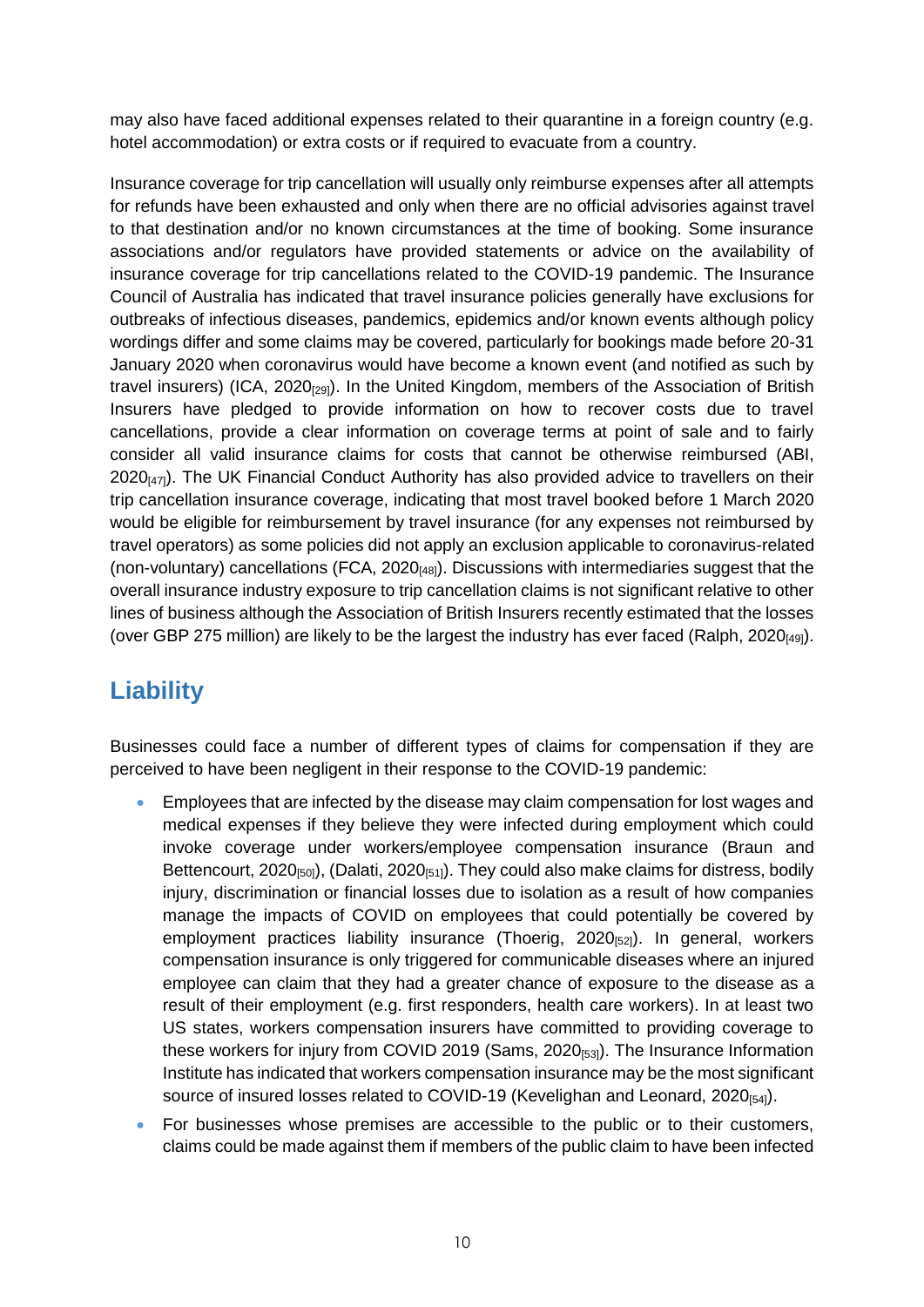may also have faced additional expenses related to their quarantine in a foreign country (e.g. hotel accommodation) or extra costs or if required to evacuate from a country.

Insurance coverage for trip cancellation will usually only reimburse expenses after all attempts for refunds have been exhausted and only when there are no official advisories against travel to that destination and/or no known circumstances at the time of booking. Some insurance associations and/or regulators have provided statements or advice on the availability of insurance coverage for trip cancellations related to the COVID-19 pandemic. The Insurance Council of Australia has indicated that travel insurance policies generally have exclusions for outbreaks of infectious diseases, pandemics, epidemics and/or known events although policy wordings differ and some claims may be covered, particularly for bookings made before 20-31 January 2020 when coronavirus would have become a known event (and notified as such by travel insurers) (ICA,  $2020_{[29]}$ ). In the United Kingdom, members of the Association of British Insurers have pledged to provide information on how to recover costs due to travel cancellations, provide a clear information on coverage terms at point of sale and to fairly consider all valid insurance claims for costs that cannot be otherwise reimbursed (ABI,  $2020_{[47]}$ . The UK Financial Conduct Authority has also provided advice to travellers on their trip cancellation insurance coverage, indicating that most travel booked before 1 March 2020 would be eligible for reimbursement by travel insurance (for any expenses not reimbursed by travel operators) as some policies did not apply an exclusion applicable to coronavirus-related (non-voluntary) cancellations (FCA,  $2020_{[48]}$ ). Discussions with intermediaries suggest that the overall insurance industry exposure to trip cancellation claims is not significant relative to other lines of business although the Association of British Insurers recently estimated that the losses (over GBP 275 million) are likely to be the largest the industry has ever faced (Ralph, 2020[49]).

# **Liability**

Businesses could face a number of different types of claims for compensation if they are perceived to have been negligent in their response to the COVID-19 pandemic:

- Employees that are infected by the disease may claim compensation for lost wages and medical expenses if they believe they were infected during employment which could invoke coverage under workers/employee compensation insurance (Braun and Bettencourt, 2020<sub>[50]</sub>), (Dalati, 2020<sub>[51]</sub>). They could also make claims for distress, bodily injury, discrimination or financial losses due to isolation as a result of how companies manage the impacts of COVID on employees that could potentially be covered by employment practices liability insurance (Thoerig, 2020<sub>[52]</sub>). In general, workers compensation insurance is only triggered for communicable diseases where an injured employee can claim that they had a greater chance of exposure to the disease as a result of their employment (e.g. first responders, health care workers). In at least two US states, workers compensation insurers have committed to providing coverage to these workers for injury from COVID 2019 (Sams, 2020<sub>[53]</sub>). The Insurance Information Institute has indicated that workers compensation insurance may be the most significant source of insured losses related to COVID-19 (Kevelighan and Leonard,  $2020_{[54]}$ ).
- For businesses whose premises are accessible to the public or to their customers, claims could be made against them if members of the public claim to have been infected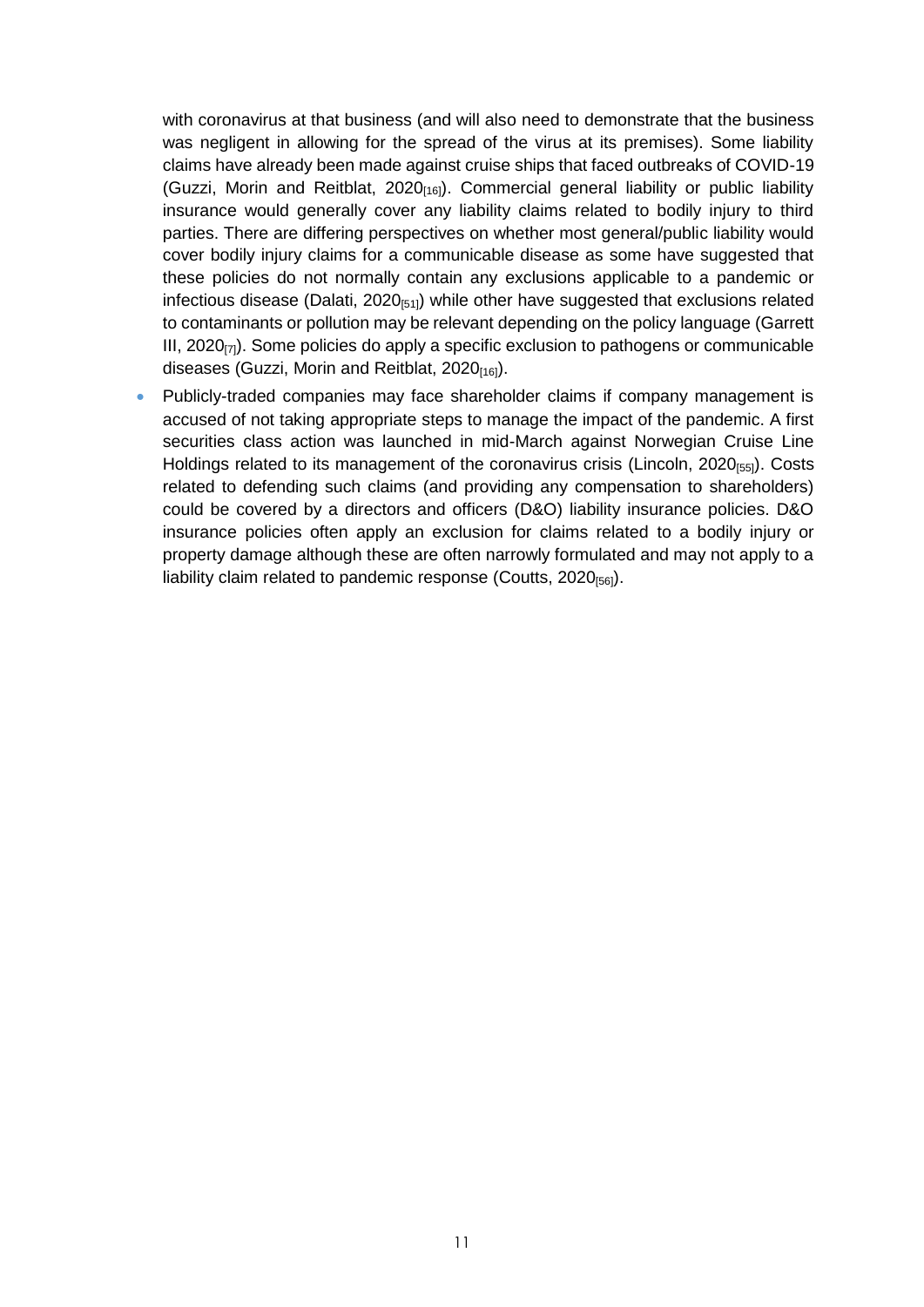with coronavirus at that business (and will also need to demonstrate that the business was negligent in allowing for the spread of the virus at its premises). Some liability claims have already been made against cruise ships that faced outbreaks of COVID-19 (Guzzi, Morin and Reitblat,  $2020_{[16]}$ ). Commercial general liability or public liability insurance would generally cover any liability claims related to bodily injury to third parties. There are differing perspectives on whether most general/public liability would cover bodily injury claims for a communicable disease as some have suggested that these policies do not normally contain any exclusions applicable to a pandemic or infectious disease (Dalati, 2020 $_{[51]}$ ) while other have suggested that exclusions related to contaminants or pollution may be relevant depending on the policy language (Garrett III, 2020 $_{(7)}$ ). Some policies do apply a specific exclusion to pathogens or communicable diseases (Guzzi, Morin and Reitblat,  $2020_{[16]}$ ).

 Publicly-traded companies may face shareholder claims if company management is accused of not taking appropriate steps to manage the impact of the pandemic. A first securities class action was launched in mid-March against Norwegian Cruise Line Holdings related to its management of the coronavirus crisis (Lincoln,  $2020_{[55]}$ ). Costs related to defending such claims (and providing any compensation to shareholders) could be covered by a directors and officers (D&O) liability insurance policies. D&O insurance policies often apply an exclusion for claims related to a bodily injury or property damage although these are often narrowly formulated and may not apply to a liability claim related to pandemic response (Coutts,  $2020_{[56]}$ ).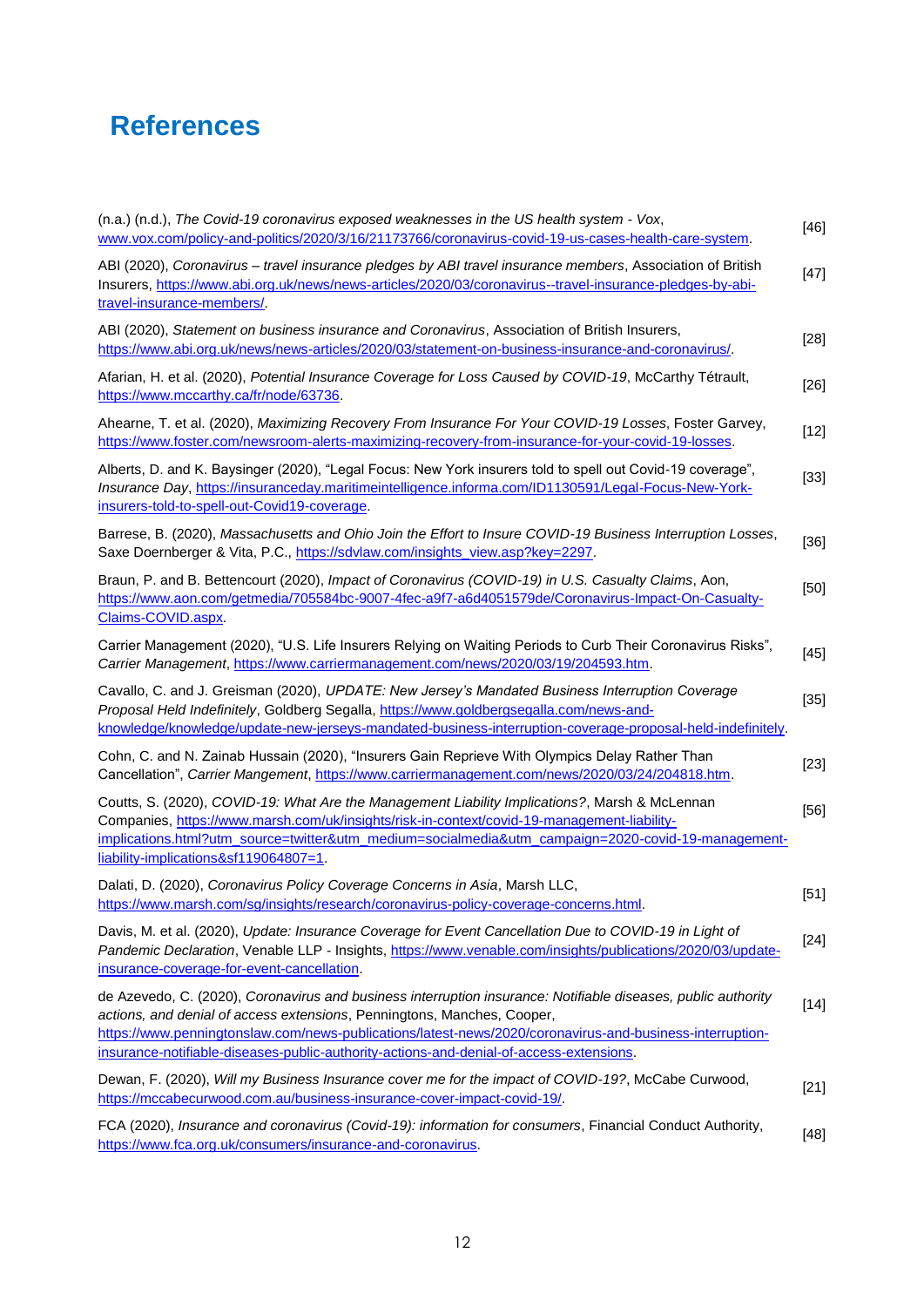# **References**

| (n.a.) (n.d.), The Covid-19 coronavirus exposed weaknesses in the US health system - Vox,<br>www.vox.com/policy-and-politics/2020/3/16/21173766/coronavirus-covid-19-us-cases-health-care-system.                                                                                                                                                                                               | $[46]$ |
|-------------------------------------------------------------------------------------------------------------------------------------------------------------------------------------------------------------------------------------------------------------------------------------------------------------------------------------------------------------------------------------------------|--------|
| ABI (2020), Coronavirus - travel insurance pledges by ABI travel insurance members, Association of British<br>Insurers, https://www.abi.org.uk/news/news-articles/2020/03/coronavirus--travel-insurance-pledges-by-abi-<br>travel-insurance-members/.                                                                                                                                           | $[47]$ |
| ABI (2020), Statement on business insurance and Coronavirus, Association of British Insurers,<br>https://www.abi.org.uk/news/news-articles/2020/03/statement-on-business-insurance-and-coronavirus/.                                                                                                                                                                                            | $[28]$ |
| Afarian, H. et al. (2020), Potential Insurance Coverage for Loss Caused by COVID-19, McCarthy Tétrault,<br>https://www.mccarthy.ca/fr/node/63736.                                                                                                                                                                                                                                               | $[26]$ |
| Ahearne, T. et al. (2020), Maximizing Recovery From Insurance For Your COVID-19 Losses, Foster Garvey,<br>https://www.foster.com/newsroom-alerts-maximizing-recovery-from-insurance-for-your-covid-19-losses.                                                                                                                                                                                   | $[12]$ |
| Alberts, D. and K. Baysinger (2020), "Legal Focus: New York insurers told to spell out Covid-19 coverage",<br>Insurance Day, https://insuranceday.maritimeintelligence.informa.com/ID1130591/Legal-Focus-New-York-<br>insurers-told-to-spell-out-Covid19-coverage.                                                                                                                              | $[33]$ |
| Barrese, B. (2020), Massachusetts and Ohio Join the Effort to Insure COVID-19 Business Interruption Losses,<br>Saxe Doernberger & Vita, P.C., https://sdvlaw.com/insights_view.asp?key=2297.                                                                                                                                                                                                    | $[36]$ |
| Braun, P. and B. Bettencourt (2020), Impact of Coronavirus (COVID-19) in U.S. Casualty Claims, Aon,<br>https://www.aon.com/getmedia/705584bc-9007-4fec-a9f7-a6d4051579de/Coronavirus-Impact-On-Casualty-<br>Claims-COVID.aspx.                                                                                                                                                                  | $[50]$ |
| Carrier Management (2020), "U.S. Life Insurers Relying on Waiting Periods to Curb Their Coronavirus Risks",<br>Carrier Management, https://www.carriermanagement.com/news/2020/03/19/204593.htm.                                                                                                                                                                                                | $[45]$ |
| Cavallo, C. and J. Greisman (2020), UPDATE: New Jersey's Mandated Business Interruption Coverage<br>Proposal Held Indefinitely, Goldberg Segalla, https://www.goldbergsegalla.com/news-and-<br>knowledge/knowledge/update-new-jerseys-mandated-business-interruption-coverage-proposal-held-indefinitely.                                                                                       | $[35]$ |
| Cohn, C. and N. Zainab Hussain (2020), "Insurers Gain Reprieve With Olympics Delay Rather Than<br>Cancellation", Carrier Mangement, https://www.carriermanagement.com/news/2020/03/24/204818.htm.                                                                                                                                                                                               | $[23]$ |
| Coutts, S. (2020), COVID-19: What Are the Management Liability Implications?, Marsh & McLennan<br>Companies, https://www.marsh.com/uk/insights/risk-in-context/covid-19-management-liability-<br>implications.html?utm_source=twitter&utm_medium=socialmedia&utm_campaign=2020-covid-19-management-<br>liability-implications&sf119064807=1.                                                    | $[56]$ |
| Dalati, D. (2020), Coronavirus Policy Coverage Concerns in Asia, Marsh LLC,<br>https://www.marsh.com/sq/insights/research/coronavirus-policy-coverage-concerns.html.                                                                                                                                                                                                                            | $[51]$ |
| Davis, M. et al. (2020), Update: Insurance Coverage for Event Cancellation Due to COVID-19 in Light of<br>Pandemic Declaration, Venable LLP - Insights, https://www.venable.com/insights/publications/2020/03/update-<br>insurance-coverage-for-event-cancellation.                                                                                                                             | $[24]$ |
| de Azevedo, C. (2020), Coronavirus and business interruption insurance: Notifiable diseases, public authority<br>actions, and denial of access extensions, Penningtons, Manches, Cooper,<br>https://www.penningtonslaw.com/news-publications/latest-news/2020/coronavirus-and-business-interruption-<br>insurance-notifiable-diseases-public-authority-actions-and-denial-of-access-extensions. | $[14]$ |
| Dewan, F. (2020), Will my Business Insurance cover me for the impact of COVID-19?, McCabe Curwood,<br>https://mccabecurwood.com.au/business-insurance-cover-impact-covid-19/.                                                                                                                                                                                                                   | $[21]$ |
| FCA (2020), Insurance and coronavirus (Covid-19): information for consumers, Financial Conduct Authority,<br>https://www.fca.org.uk/consumers/insurance-and-coronavirus.                                                                                                                                                                                                                        | $[48]$ |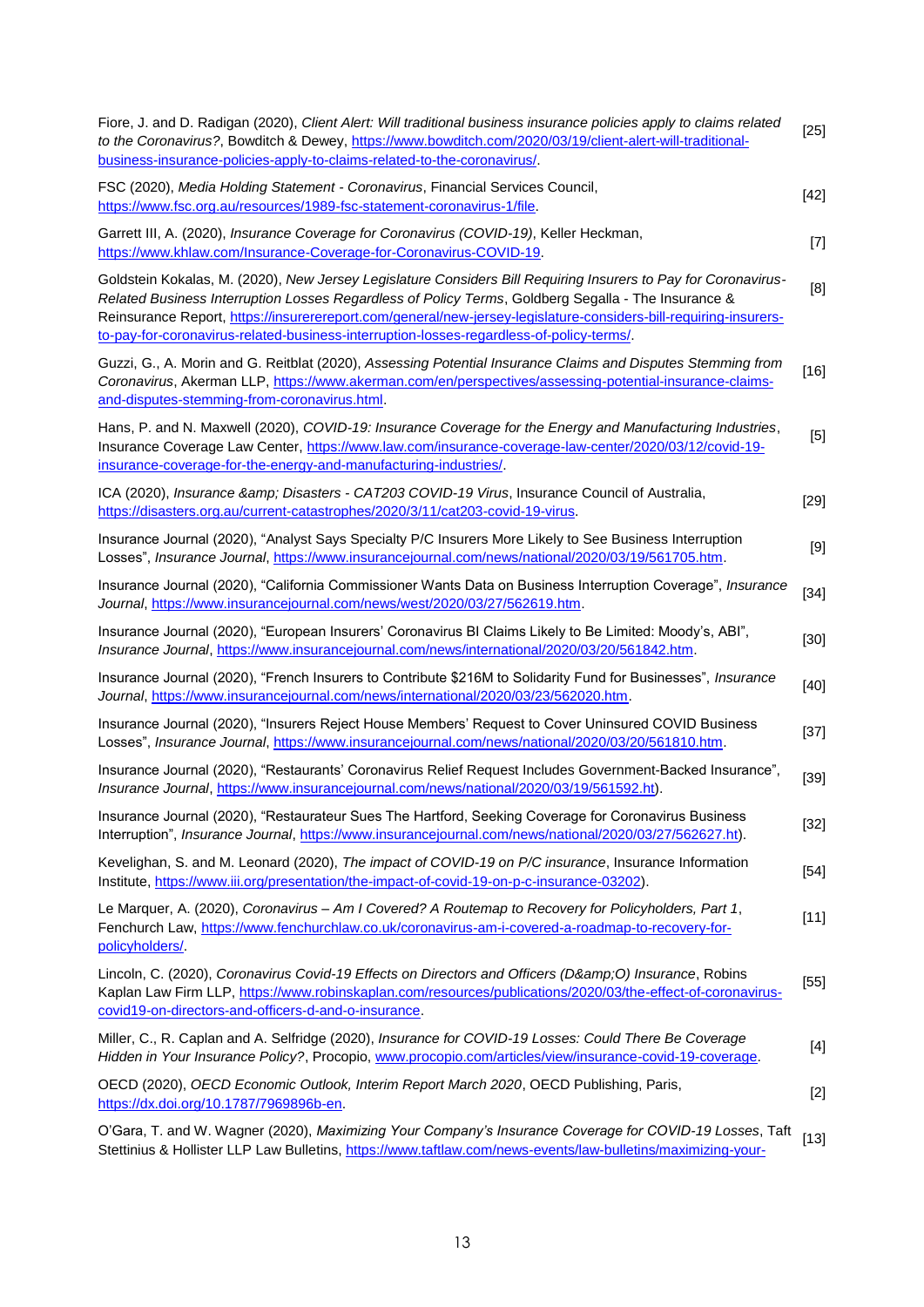| Fiore, J. and D. Radigan (2020), Client Alert: Will traditional business insurance policies apply to claims related<br>to the Coronavirus?, Bowditch & Dewey, https://www.bowditch.com/2020/03/19/client-alert-will-traditional-<br>business-insurance-policies-apply-to-claims-related-to-the-coronavirus/.                                                                                                                          | $[25]$ |
|---------------------------------------------------------------------------------------------------------------------------------------------------------------------------------------------------------------------------------------------------------------------------------------------------------------------------------------------------------------------------------------------------------------------------------------|--------|
| FSC (2020), Media Holding Statement - Coronavirus, Financial Services Council,<br>https://www.fsc.org.au/resources/1989-fsc-statement-coronavirus-1/file.                                                                                                                                                                                                                                                                             | $[42]$ |
| Garrett III, A. (2020), Insurance Coverage for Coronavirus (COVID-19), Keller Heckman,<br>https://www.khlaw.com/Insurance-Coverage-for-Coronavirus-COVID-19.                                                                                                                                                                                                                                                                          | $[7]$  |
| Goldstein Kokalas, M. (2020), New Jersey Legislature Considers Bill Requiring Insurers to Pay for Coronavirus-<br>Related Business Interruption Losses Regardless of Policy Terms, Goldberg Segalla - The Insurance &<br>Reinsurance Report, https://insurerereport.com/general/new-jersey-legislature-considers-bill-requiring-insurers-<br>to-pay-for-coronavirus-related-business-interruption-losses-regardless-of-policy-terms/. | [8]    |
| Guzzi, G., A. Morin and G. Reitblat (2020), Assessing Potential Insurance Claims and Disputes Stemming from<br>Coronavirus, Akerman LLP, https://www.akerman.com/en/perspectives/assessing-potential-insurance-claims-<br>and-disputes-stemming-from-coronavirus.html.                                                                                                                                                                | $[16]$ |
| Hans, P. and N. Maxwell (2020), COVID-19: Insurance Coverage for the Energy and Manufacturing Industries,<br>Insurance Coverage Law Center, https://www.law.com/insurance-coverage-law-center/2020/03/12/covid-19-<br>insurance-coverage-for-the-energy-and-manufacturing-industries/.                                                                                                                                                | $[5]$  |
| ICA (2020), Insurance & Disasters - CAT203 COVID-19 Virus, Insurance Council of Australia,<br>https://disasters.org.au/current-catastrophes/2020/3/11/cat203-covid-19-virus.                                                                                                                                                                                                                                                          | $[29]$ |
| Insurance Journal (2020), "Analyst Says Specialty P/C Insurers More Likely to See Business Interruption<br>Losses", Insurance Journal, https://www.insurancejournal.com/news/national/2020/03/19/561705.htm.                                                                                                                                                                                                                          | $[9]$  |
| Insurance Journal (2020), "California Commissioner Wants Data on Business Interruption Coverage", Insurance<br>Journal, https://www.insurancejournal.com/news/west/2020/03/27/562619.htm.                                                                                                                                                                                                                                             | $[34]$ |
| Insurance Journal (2020), "European Insurers' Coronavirus BI Claims Likely to Be Limited: Moody's, ABI",<br>Insurance Journal, https://www.insurancejournal.com/news/international/2020/03/20/561842.htm.                                                                                                                                                                                                                             | $[30]$ |
| Insurance Journal (2020), "French Insurers to Contribute \$216M to Solidarity Fund for Businesses", Insurance<br>Journal, https://www.insurancejournal.com/news/international/2020/03/23/562020.htm.                                                                                                                                                                                                                                  | $[40]$ |
| Insurance Journal (2020), "Insurers Reject House Members' Request to Cover Uninsured COVID Business<br>Losses", Insurance Journal, https://www.insurancejournal.com/news/national/2020/03/20/561810.htm.                                                                                                                                                                                                                              | $[37]$ |
| Insurance Journal (2020), "Restaurants' Coronavirus Relief Request Includes Government-Backed Insurance",<br>Insurance Journal, https://www.insurancejournal.com/news/national/2020/03/19/561592.ht).                                                                                                                                                                                                                                 | $[39]$ |
| Insurance Journal (2020), "Restaurateur Sues The Hartford, Seeking Coverage for Coronavirus Business<br>Interruption", Insurance Journal, https://www.insurancejournal.com/news/national/2020/03/27/562627.ht).                                                                                                                                                                                                                       | $[32]$ |
| Kevelighan, S. and M. Leonard (2020), The impact of COVID-19 on P/C insurance, Insurance Information<br>Institute, https://www.iii.org/presentation/the-impact-of-covid-19-on-p-c-insurance-03202).                                                                                                                                                                                                                                   | $[54]$ |
| Le Marquer, A. (2020), Coronavirus - Am I Covered? A Routemap to Recovery for Policyholders, Part 1,<br>Fenchurch Law, https://www.fenchurchlaw.co.uk/coronavirus-am-i-covered-a-roadmap-to-recovery-for-<br>policyholders/                                                                                                                                                                                                           | $[11]$ |
| Lincoln, C. (2020), Coronavirus Covid-19 Effects on Directors and Officers (D&O) Insurance, Robins<br>Kaplan Law Firm LLP, https://www.robinskaplan.com/resources/publications/2020/03/the-effect-of-coronavirus-<br>covid19-on-directors-and-officers-d-and-o-insurance.                                                                                                                                                             | $[55]$ |
| Miller, C., R. Caplan and A. Selfridge (2020), Insurance for COVID-19 Losses: Could There Be Coverage<br>Hidden in Your Insurance Policy?, Procopio, www.procopio.com/articles/view/insurance-covid-19-coverage.                                                                                                                                                                                                                      | $[4]$  |
| OECD (2020), OECD Economic Outlook, Interim Report March 2020, OECD Publishing, Paris,<br>https://dx.doi.org/10.1787/7969896b-en.                                                                                                                                                                                                                                                                                                     | $[2]$  |
| O'Gara, T. and W. Wagner (2020), Maximizing Your Company's Insurance Coverage for COVID-19 Losses, Taft                                                                                                                                                                                                                                                                                                                               | [13]   |

Stettinius & Hollister LLP Law Bulletins, https://www.taftlaw.com/news-events/law-bulletins/maximizing-your-[13]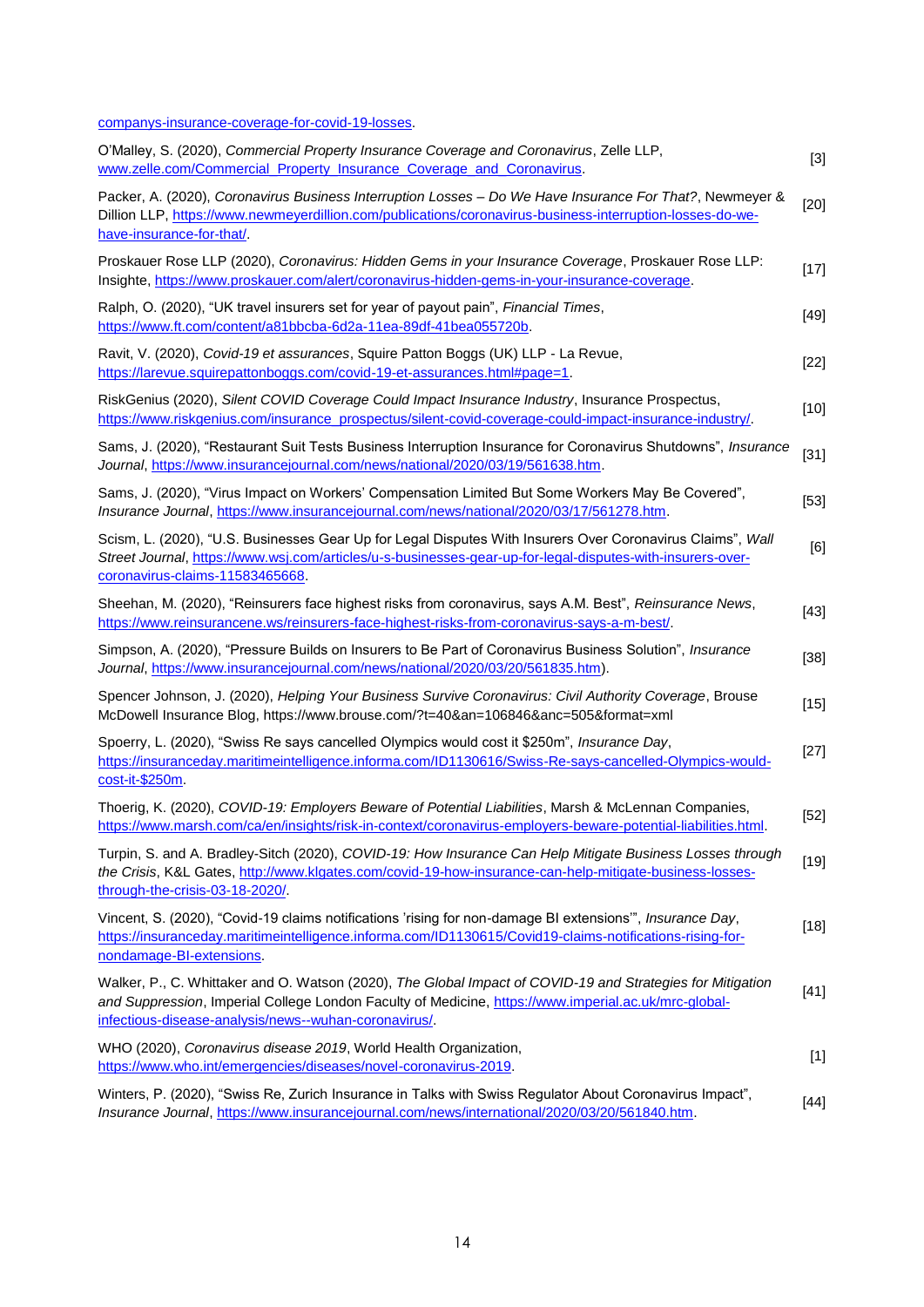companys-insurance-coverage-for-covid-19-losses.

| O'Malley, S. (2020), Commercial Property Insurance Coverage and Coronavirus, Zelle LLP,<br>www.zelle.com/Commercial Property Insurance Coverage and Coronavirus.                                                                                                            | $[3]$  |
|-----------------------------------------------------------------------------------------------------------------------------------------------------------------------------------------------------------------------------------------------------------------------------|--------|
| Packer, A. (2020), Coronavirus Business Interruption Losses - Do We Have Insurance For That?, Newmeyer &<br>Dillion LLP, https://www.newmeyerdillion.com/publications/coronavirus-business-interruption-losses-do-we-<br>have-insurance-for-that/.                          | $[20]$ |
| Proskauer Rose LLP (2020), Coronavirus: Hidden Gems in your Insurance Coverage, Proskauer Rose LLP:<br>Insighte, https://www.proskauer.com/alert/coronavirus-hidden-gems-in-your-insurance-coverage.                                                                        | $[17]$ |
| Ralph, O. (2020), "UK travel insurers set for year of payout pain", Financial Times,<br>https://www.ft.com/content/a81bbcba-6d2a-11ea-89df-41bea055720b.                                                                                                                    | $[49]$ |
| Ravit, V. (2020), Covid-19 et assurances, Squire Patton Boggs (UK) LLP - La Revue,<br>https://larevue.squirepattonboggs.com/covid-19-et-assurances.html#page=1.                                                                                                             | $[22]$ |
| RiskGenius (2020), Silent COVID Coverage Could Impact Insurance Industry, Insurance Prospectus,<br>https://www.riskgenius.com/insurance_prospectus/silent-covid-coverage-could-impact-insurance-industry/.                                                                  | $[10]$ |
| Sams, J. (2020), "Restaurant Suit Tests Business Interruption Insurance for Coronavirus Shutdowns", Insurance<br>Journal, https://www.insurancejournal.com/news/national/2020/03/19/561638.htm.                                                                             | $[31]$ |
| Sams, J. (2020), "Virus Impact on Workers' Compensation Limited But Some Workers May Be Covered",<br>Insurance Journal, https://www.insurancejournal.com/news/national/2020/03/17/561278.htm.                                                                               | $[53]$ |
| Scism, L. (2020), "U.S. Businesses Gear Up for Legal Disputes With Insurers Over Coronavirus Claims", Wall<br>Street Journal, https://www.wsj.com/articles/u-s-businesses-gear-up-for-legal-disputes-with-insurers-over-<br>coronavirus-claims-11583465668.                 | [6]    |
| Sheehan, M. (2020), "Reinsurers face highest risks from coronavirus, says A.M. Best", Reinsurance News,<br>https://www.reinsurancene.ws/reinsurers-face-highest-risks-from-coronavirus-says-a-m-best/.                                                                      | $[43]$ |
| Simpson, A. (2020), "Pressure Builds on Insurers to Be Part of Coronavirus Business Solution", Insurance<br>Journal, https://www.insurancejournal.com/news/national/2020/03/20/561835.htm).                                                                                 | $[38]$ |
| Spencer Johnson, J. (2020), Helping Your Business Survive Coronavirus: Civil Authority Coverage, Brouse<br>McDowell Insurance Blog, https://www.brouse.com/?t=40&an=106846&anc=505&format=xml                                                                               | $[15]$ |
| Spoerry, L. (2020), "Swiss Re says cancelled Olympics would cost it \$250m", Insurance Day,<br>https://insuranceday.maritimeintelligence.informa.com/ID1130616/Swiss-Re-says-cancelled-Olympics-would-<br>cost-it-\$250m.                                                   | $[27]$ |
| Thoerig, K. (2020), COVID-19: Employers Beware of Potential Liabilities, Marsh & McLennan Companies,<br>https://www.marsh.com/ca/en/insights/risk-in-context/coronavirus-employers-beware-potential-liabilities.html.                                                       | $[52]$ |
| Turpin, S. and A. Bradley-Sitch (2020), COVID-19: How Insurance Can Help Mitigate Business Losses through<br>the Crisis, K&L Gates, http://www.klgates.com/covid-19-how-insurance-can-help-mitigate-business-losses-                                                        | $[19]$ |
| through-the-crisis-03-18-2020/.                                                                                                                                                                                                                                             |        |
| Vincent, S. (2020), "Covid-19 claims notifications 'rising for non-damage BI extensions", Insurance Day,<br>https://insuranceday.maritimeintelligence.informa.com/ID1130615/Covid19-claims-notifications-rising-for-<br>nondamage-BI-extensions.                            | $[18]$ |
| Walker, P., C. Whittaker and O. Watson (2020), The Global Impact of COVID-19 and Strategies for Mitigation<br>and Suppression, Imperial College London Faculty of Medicine, https://www.imperial.ac.uk/mrc-global-<br>infectious-disease-analysis/news--wuhan-coronavirus/. | $[41]$ |
| WHO (2020), Coronavirus disease 2019, World Health Organization,<br>https://www.who.int/emergencies/diseases/novel-coronavirus-2019.                                                                                                                                        | $[1]$  |
| Winters, P. (2020), "Swiss Re, Zurich Insurance in Talks with Swiss Regulator About Coronavirus Impact",<br>Insurance Journal, https://www.insurancejournal.com/news/international/2020/03/20/561840.htm.                                                                   | [44]   |